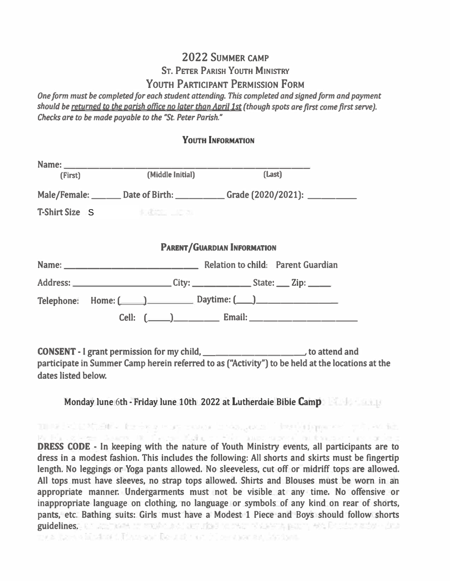# 2022 SUMMER CAMP

# **ST. PETER PARISH YOUTH MINISTRY**

## YOUTH PARTICIPANT PERMISSION FORM

One form must be completed for each student attending. This completed and signed form and payment should be returned to the parish office no later than April 1st (though spots are first come first serve). Checks are to be made payable to the "St. Peter Parish."

## **YOUTH INFORMATION**

| (First) | (Middle Initial)          | (Last)                                                                          |
|---------|---------------------------|---------------------------------------------------------------------------------|
|         |                           | Male/Female: _______ Date of Birth: ____________ Grade (2020/2021): ___________ |
|         | T-Shirt Size S Figures 19 |                                                                                 |
|         |                           |                                                                                 |
|         |                           | <b>PARENT/GUARDIAN INFORMATION</b>                                              |
|         |                           |                                                                                 |
|         |                           |                                                                                 |
|         |                           | Telephone: Home: ( ) Daytime: ( )                                               |
|         |                           |                                                                                 |

**CONSENT** - I grant permission for my child, **CONSENT** - I grant permission for my child, participate in Summer Camp herein referred to as ("Activity") to be held at the locations at the dates listed below.

Monday lune 6th - Friday lune 10th 2022 at Lutherdaie Bibie Camp

THE POSTCAR - Iteries a work reade in watternal " intervisions we'll put . We ide

Profile of Figure Assembly Contact Make the Star Basic supervision from a resident DRESS CODE - In keeping with the nature of Youth Ministry events, all participants are to dress in a modest fashion. This includes the following: All shorts and skirts must be fingertip length. No leggings or Yoga pants allowed. No sleeveless, cut off or midriff tops are allowed. All tops must have sleeves, no strap tops allowed. Shirts and Blouses must be worn in an appropriate manner. Undergarments must not be visible at any time. No offensive or inappropriate language on clothing, no language or symbols of any kind on rear of shorts, pants, etc. Bathing suits: Girls must have a Modest 1 Piece and Boys should follow shorts guidelines. We approve the students of authority to their research paper, what the station drug men have a hindustic Plans and Results for this mother assistants.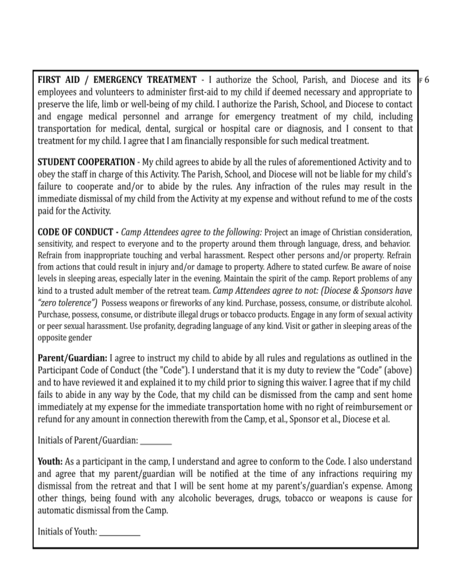FIRST AID / EMERGENCY TREATMENT - I authorize the School, Parish, and Diocese and its employees and volunteers to administer first-aid to my child if deemed necessary and appropriate to preserve the life, limb or well-being of my child. I authorize the Parish, School, and Diocese to contact and engage medical personnel and arrange for emergency treatment of my child, including transportation for medical, dental, surgical or hospital care or diagnosis, and I consent to that treatment for my child. I agree that I am financially responsible for such medical treatment.

ғ6

**STUDENT COOPERATION** - My child agrees to abide by all the rules of aforementioned Activity and to obey the staff in charge of this Activity. The Parish, School, and Diocese will not be liable for my child's failure to cooperate and/or to abide by the rules. Any infraction of the rules may result in the immediate dismissal of my child from the Activity at my expense and without refund to me of the costs paid for the Activity.

**CODE OF CONDUCT** - *Camp Attendees agree to the following:* Project an image of Christian consideration, sensitivity, and respect to everyone and to the property around them through language, dress, and behavior. Refrain from inappropriate touching and verbal harassment. Respect other persons and/or property. Refrain from actions that could result in injury and/or damage to property. Adhere to stated curfew. Be aware of noise levels in sleeping areas, especially later in the evening. Maintain the spirit of the camp. Report problems of any kind to a trusted adult member of the retreat team. Camp Attendees agree to not: (Diocese & Sponsors have "zero tolerence") Possess weapons or fireworks of any kind. Purchase, possess, consume, or distribute alcohol. Purchase, possess, consume, or distribute illegal drugs or tobacco products. Engage in any form of sexual activity or peer sexual harassment. Use profanity, degrading language of any kind. Visit or gather in sleeping areas of the opposite gender

Parent/Guardian: I agree to instruct my child to abide by all rules and regulations as outlined in the Participant Code of Conduct (the "Code"). I understand that it is my duty to review the "Code" (above) and to have reviewed it and explained it to my child prior to signing this waiver. I agree that if my child fails to abide in any way by the Code, that my child can be dismissed from the camp and sent home immediately at my expense for the immediate transportation home with no right of reimbursement or refund for any amount in connection therewith from the Camp, et al., Sponsor et al., Diocese et al.

Initials of Parent/Guardian:

**Youth:** As a participant in the camp, I understand and agree to conform to the Code. I also understand and agree that my parent/guardian will be notified at the time of any infractions requiring my dismissal from the retreat and that I will be sent home at my parent's/guardian's expense. Among other things, being found with any alcoholic beverages, drugs, tobacco or weapons is cause for automatic dismissal from the Camp.

Initials of Youth: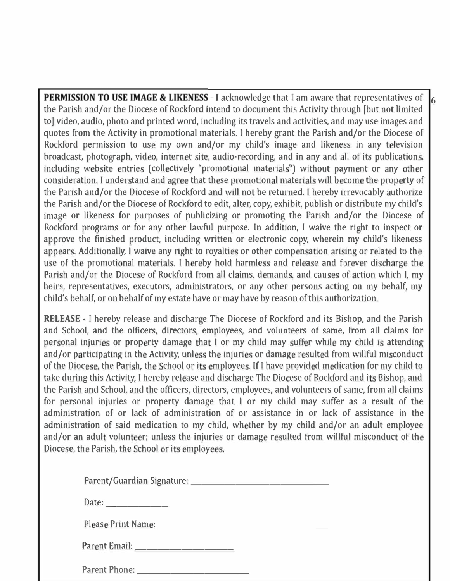**PERMISSION TO USE IMAGE & LIKENESS** - I acknowledge that I am aware that representatives of  $\mathbf{6}$ **the Parish and/or the Diocese of Rockfrd intend to document this Activity through [ but not limited to] video, audio, photo and printed word, including its travels and activities, and may use images and quotes fom the Activity in promotional materials. I hereby grant the Parish and/or the Diocese of**  Rockford permission to use my own and/or my child's image and likeness in any television broadcast, photograph, video, internet site, audio-recording, and in any and all of its publications, including website entries (collectively "promotional materials") without payment or any other consideration. I understand and agree that these promotional materials will become the property of the Parish and/or the Diocese of Rockford and will not be returned. I hereby irrevocably authorize **the Parish and/or the Diocese of Rockford to edit, alter, copy, exhibit, publish or distribute my child's**  image or likeness for purposes of publicizing or promoting the Parish and/or the Diocese of Rockford programs or for any other lawful purpose. In addition, I waive the right to inspect or **approve the fnished product, including written or electronic copy, wherein my child's likeness**  appears. Additionally, I waive any right to royalties or other compensation arising or related to the **use** of the promotional materials. I hereby hold harmless and release and forever discharge the Parish and/or the Diocese of Rockford from all claims, demands, and causes of action which I, my **heirs, representatives, executors, administrators, or any other persons acting on my behalf, my child's behalf, or on behalf of my estate have or may have by reason of this authorization.** 

**RELEASE** - I hereby release and discharge The Diocese of Rockford and its Bishop, and the Parish and School, and the officers, directors, employees, and volunteers of same, from all claims for personal injuries or property damage that I or my child may suffer while my child is attending and/or participating in the Activity, unless the injuries or damage resulted from willful misconduct of the Diocese, the Parish, the School or its employees. If I have provided medication for my child to take during this Activity, I hereby release and discharge The Diocese of Rockford and its Bishop, and **the Parish and School, and the officers, directors, employees, and volunteers of same, from all claims**  for personal injuries or property damage that I or my child may suffer as a result of the **administration of or lack of administration of or assistance in or lack of assistance in the**  administration of said medication to my child, whether by my child and/or an adult employee and/or an adult volunteer; unless the injuries or damage resulted from willful misconduct of the **Diocese, the Parish, the School or its employees.** 

| Date: $\frac{1}{\sqrt{1-\frac{1}{2}} \cdot \frac{1}{2}}$ |
|----------------------------------------------------------|
|                                                          |
|                                                          |
|                                                          |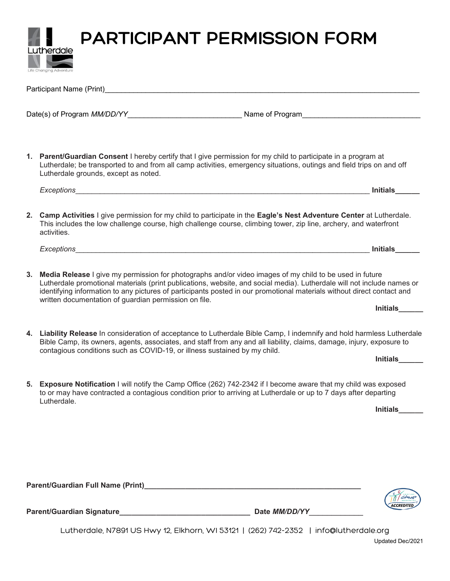**PARTICIPANT PERMISSION FORM** 

Lutherdale

|    | Participant Name (Print)                                                                                                                                                                                                                                                                                                                                                                                             |                 |
|----|----------------------------------------------------------------------------------------------------------------------------------------------------------------------------------------------------------------------------------------------------------------------------------------------------------------------------------------------------------------------------------------------------------------------|-----------------|
|    |                                                                                                                                                                                                                                                                                                                                                                                                                      |                 |
|    | 1. Parent/Guardian Consent I hereby certify that I give permission for my child to participate in a program at                                                                                                                                                                                                                                                                                                       |                 |
|    | Lutherdale; be transported to and from all camp activities, emergency situations, outings and field trips on and off<br>Lutherdale grounds, except as noted.                                                                                                                                                                                                                                                         |                 |
|    | Exceptions_<br><u> 1989 - Johann Stoff, amerikansk politiker (d. 1989)</u>                                                                                                                                                                                                                                                                                                                                           | Initials        |
|    | 2. Camp Activities I give permission for my child to participate in the Eagle's Nest Adventure Center at Lutherdale.<br>This includes the low challenge course, high challenge course, climbing tower, zip line, archery, and waterfront<br>activities.                                                                                                                                                              |                 |
|    |                                                                                                                                                                                                                                                                                                                                                                                                                      | <b>Initials</b> |
| 3. | Media Release I give my permission for photographs and/or video images of my child to be used in future<br>Lutherdale promotional materials (print publications, website, and social media). Lutherdale will not include names or<br>identifying information to any pictures of participants posted in our promotional materials without direct contact and<br>written documentation of guardian permission on file. |                 |
|    |                                                                                                                                                                                                                                                                                                                                                                                                                      | Initials_____   |
|    | 4. Liability Release In consideration of acceptance to Lutherdale Bible Camp, I indemnify and hold harmless Lutherdale<br>Bible Camp, its owners, agents, associates, and staff from any and all liability, claims, damage, injury, exposure to                                                                                                                                                                      |                 |
|    | contagious conditions such as COVID-19, or illness sustained by my child.                                                                                                                                                                                                                                                                                                                                            | <b>Initials</b> |
| 5. | Exposure Notification I will notify the Camp Office (262) 742-2342 if I become aware that my child was exposed<br>to or may have contracted a contagious condition prior to arriving at Lutherdale or up to 7 days after departing<br>Lutherdale.                                                                                                                                                                    |                 |
|    |                                                                                                                                                                                                                                                                                                                                                                                                                      | Initials______  |
|    |                                                                                                                                                                                                                                                                                                                                                                                                                      |                 |
|    |                                                                                                                                                                                                                                                                                                                                                                                                                      |                 |
|    | Parent/Guardian Full Name (Print) Name (2008) 2014 12:30 12:30 12:30 12:30 12:30 12:30 12:30 12:30 12:30 12:30                                                                                                                                                                                                                                                                                                       |                 |
|    |                                                                                                                                                                                                                                                                                                                                                                                                                      |                 |
|    |                                                                                                                                                                                                                                                                                                                                                                                                                      |                 |

Lutherdale, N7891 US Hwy 12, Elkhorn, WI 53121 | (262) 742-2352 | info@lutherdale.org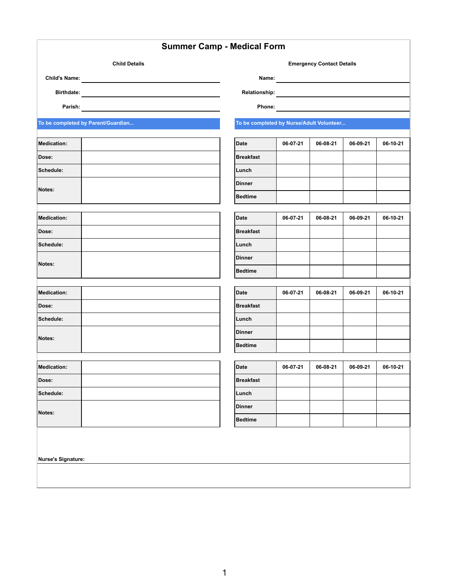|                                    |                      | <b>Summer Camp - Medical Form</b>        |          |                                  |          |          |
|------------------------------------|----------------------|------------------------------------------|----------|----------------------------------|----------|----------|
|                                    | <b>Child Details</b> |                                          |          | <b>Emergency Contact Details</b> |          |          |
| <b>Child's Name:</b>               |                      | Name:                                    |          |                                  |          |          |
| <b>Birthdate:</b>                  |                      | <b>Relationship:</b>                     |          |                                  |          |          |
| Parish:                            |                      | Phone:                                   |          |                                  |          |          |
| To be completed by Parent/Guardian |                      | To be completed by Nurse/Adult Volunteer |          |                                  |          |          |
| Medication:                        |                      | <b>Date</b>                              | 06-07-21 | 06-08-21                         | 06-09-21 | 06-10-21 |
| Dose:                              |                      | <b>Breakfast</b>                         |          |                                  |          |          |
| Schedule:                          |                      | Lunch                                    |          |                                  |          |          |
|                                    |                      | <b>Dinner</b>                            |          |                                  |          |          |
| Notes:                             |                      | <b>Bedtime</b>                           |          |                                  |          |          |
| Medication:                        |                      | <b>Date</b>                              | 06-07-21 | 06-08-21                         | 06-09-21 | 06-10-21 |
| Dose:                              |                      | <b>Breakfast</b>                         |          |                                  |          |          |
| Schedule:                          |                      | Lunch                                    |          |                                  |          |          |
|                                    |                      | <b>Dinner</b>                            |          |                                  |          |          |
| Notes:                             |                      | <b>Bedtime</b>                           |          |                                  |          |          |
| Medication:                        |                      | <b>Date</b>                              | 06-07-21 | 06-08-21                         | 06-09-21 | 06-10-21 |
| Dose:                              |                      | <b>Breakfast</b>                         |          |                                  |          |          |
| Schedule:                          |                      | Lunch                                    |          |                                  |          |          |
|                                    |                      | <b>Dinner</b>                            |          |                                  |          |          |
| Notes:                             |                      | <b>Bedtime</b>                           |          |                                  |          |          |
|                                    |                      |                                          |          |                                  |          |          |
| <b>Medication:</b>                 |                      | <b>Date</b>                              | 06-07-21 | 06-08-21                         | 06-09-21 | 06-10-21 |
| Dose:                              |                      | <b>Breakfast</b>                         |          |                                  |          |          |
| Schedule:                          |                      | Lunch                                    |          |                                  |          |          |
| Notes:                             |                      | <b>Dinner</b>                            |          |                                  |          |          |
|                                    |                      | <b>Bedtime</b>                           |          |                                  |          |          |

**Nurse's Signature:**

1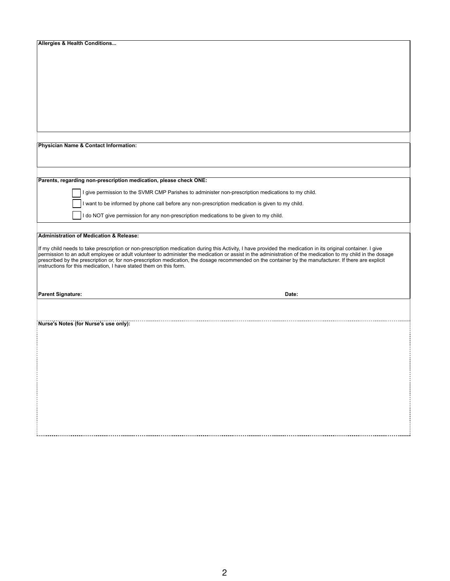| <b>Allergies &amp; Health Conditions</b>                                                                                                                                                                                     |
|------------------------------------------------------------------------------------------------------------------------------------------------------------------------------------------------------------------------------|
|                                                                                                                                                                                                                              |
|                                                                                                                                                                                                                              |
|                                                                                                                                                                                                                              |
|                                                                                                                                                                                                                              |
|                                                                                                                                                                                                                              |
|                                                                                                                                                                                                                              |
|                                                                                                                                                                                                                              |
|                                                                                                                                                                                                                              |
|                                                                                                                                                                                                                              |
|                                                                                                                                                                                                                              |
|                                                                                                                                                                                                                              |
|                                                                                                                                                                                                                              |
| Physician Name & Contact Information:                                                                                                                                                                                        |
|                                                                                                                                                                                                                              |
|                                                                                                                                                                                                                              |
|                                                                                                                                                                                                                              |
|                                                                                                                                                                                                                              |
| Parents, regarding non-prescription medication, please check ONE:                                                                                                                                                            |
| I give permission to the SVMR CMP Parishes to administer non-prescription medications to my child.                                                                                                                           |
| I want to be informed by phone call before any non-prescription medication is given to my child.                                                                                                                             |
|                                                                                                                                                                                                                              |
| I do NOT give permission for any non-prescription medications to be given to my child.                                                                                                                                       |
|                                                                                                                                                                                                                              |
| <b>Administration of Medication &amp; Release:</b>                                                                                                                                                                           |
|                                                                                                                                                                                                                              |
| If my child needs to take prescription or non-prescription medication during this Activity, I have provided the medication in its original container. I give                                                                 |
| permission to an adult employee or adult volunteer to administer the medication or assist in the administration of the medication to my child in the dosage                                                                  |
| prescribed by the prescription or, for non-prescription medication, the dosage recommended on the container by the manufacturer. If there are explicit<br>instructions for this medication, I have stated them on this form. |
|                                                                                                                                                                                                                              |
|                                                                                                                                                                                                                              |
|                                                                                                                                                                                                                              |
| <b>Parent Signature:</b><br>Date:                                                                                                                                                                                            |
|                                                                                                                                                                                                                              |
|                                                                                                                                                                                                                              |
|                                                                                                                                                                                                                              |
| Nurse's Notes (for Nurse's use only):                                                                                                                                                                                        |
|                                                                                                                                                                                                                              |
|                                                                                                                                                                                                                              |
|                                                                                                                                                                                                                              |
|                                                                                                                                                                                                                              |
|                                                                                                                                                                                                                              |
|                                                                                                                                                                                                                              |
|                                                                                                                                                                                                                              |
|                                                                                                                                                                                                                              |
|                                                                                                                                                                                                                              |
|                                                                                                                                                                                                                              |

÷.